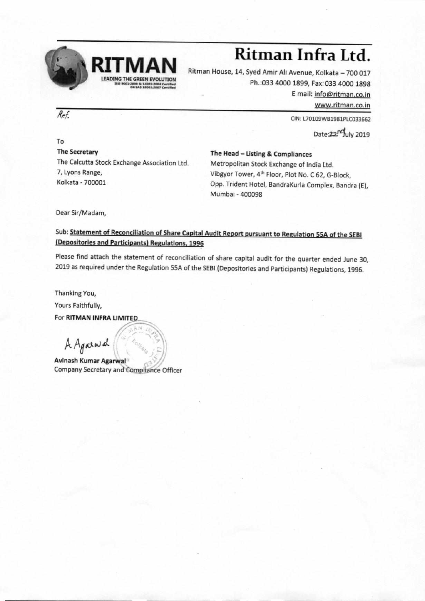

# **Ritman Infra Ltd.**

Ritman House, 14, Syed Amir Ali Avenue, Kolkata — 700 017 Ph.:033 4000 1899, Fax:033 4000 1898 E mail: info@ritman.co.in www.ritman.co.in

CIN: L70109WB1981PLC033662

Date:22<sup>no</sup>uly 2019

To The Secretary The Calcutta Stock Exchange Association Ltd. 7, Lyons Range, Kolkata - 700001

The Head — Listing & Compliances Metropolitan Stock Exchange of India Ltd. Vibgyor Tower, 4th Floor, Plot No. C 62, G-Block, Opp. Trident Hotel, BandraKurla Complex, Bandra (E), Mumbai - 400098

Dear Sir/Madam,

## Sub: Statement of Reconciliation of Share Capital Audit Report pursuant to Regulation 55A of the SEBI (Depositories and Participants) Regulations, 1996

Please find attach the statement of reconciliation of share capital audit for the quarter ended June 30, 2019 as required under the Regulation 55A of the SEBI (Depositories and Participants) Regulations, 1996.

Thanking You,

Yours Faithfully,

For **RITMAN INFRA LIMITED** 

<sup>A</sup>*Apo,* 1,-) **<sup>411</sup>**

**Avinash Kumar Agarwal**  Company Secretary and Compliance Officer

**' 7** 

 $\overline{\mathcal{R}e\mathcal{F}}$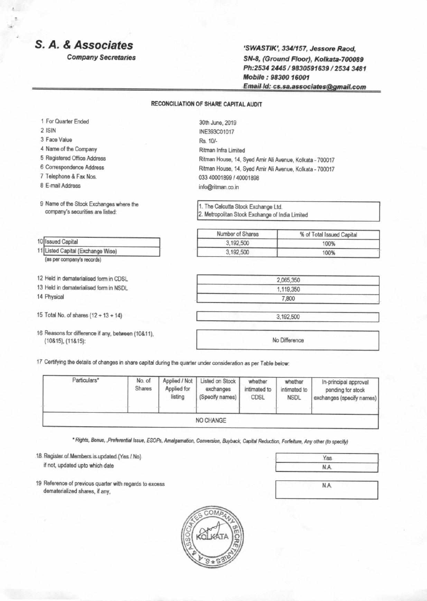## **S. A. & Associates**

Company Secretaries

`SWASTIK', 334/157, Jessore Raod. SN-8, (Ground Floor), Kolkata-700089 Ph:2534 2445 / 9830591639 / 2534 3481 Mobile : 98300 16001 Email Id: cs.sa.associates@gmail.com

#### RECONCILIATION OF SHARE CAPITAL AUDIT

- 1 For Quarter Ended
- 2 ISIN
- 3 Face Value
- 4 Name of the Company
- 5 Registered Office Address
- 6 Correspondence Address
- 7 Telephone & Fax Nos.
- 8 E-mail Address

10 **Issued Capital** 

9 Name of the Stock Exchanges where the company's securities are listed:

30th June, 2019 INE393C01017 Rs. 10/- Ritman Infra Limited Ritman House, 14, Syed Amir Ali Avenue, Kolkata - 700017 Ritman House, 14, Syed Amir Ali Avenue, Kolkata - 700017 033 40001899 / 40001898 info@ritman.co.in

1. The Calcutta Stock Exchange Ltd. 2. Metropolitan Stock Exchange of India Limited

| Number of Shares | % of Total Issued Capital |
|------------------|---------------------------|
| 3,192,500        | 100%                      |
| 3,192,500        | 100%                      |

| 2,065,350 |  |
|-----------|--|
| 1,119,350 |  |
| 7,800     |  |

3,192,500

No Difference

17 Certifying the details of changes in share capital during the quarter under consideration as per Table below:

| Particulars* | No. of<br>Shares | Applied / Not<br>Applied for<br>listing | Listed on Stock<br>exchanges<br>(Specify names) | whether<br>intimated to<br><b>CDSL</b> | whether<br>intimated to<br><b>NSDL</b> | In-principal approval<br>pending for stock<br>exchanges (specify names) |
|--------------|------------------|-----------------------------------------|-------------------------------------------------|----------------------------------------|----------------------------------------|-------------------------------------------------------------------------|
|              |                  |                                         | NO CHANGE                                       |                                        |                                        |                                                                         |

Rights. Bonus. ,Preferential Issue, ESOPs. Amalgamation. Conversion, Buyback, Capital Reduction, Forfeiture, Any other (to specify)

18 Register of Members is updated (Yes / No)

if not, updated upto which date

19 Reference of previous quarter with regards to excess dematerialized shares, if any,



Yes N.A.

N.A.

### 11 Listed Capital (Exchange Wise)

(as per company's records)

- 12 Held in dematerialised form in CDSL
- 13 Held in dematerialised form in NSDL

14 Physical

- 15 Total No. of shares  $(12 + 13 + 14)$
- 16 Reasons for difference if any, between (10&11), (10&15), (11&15):